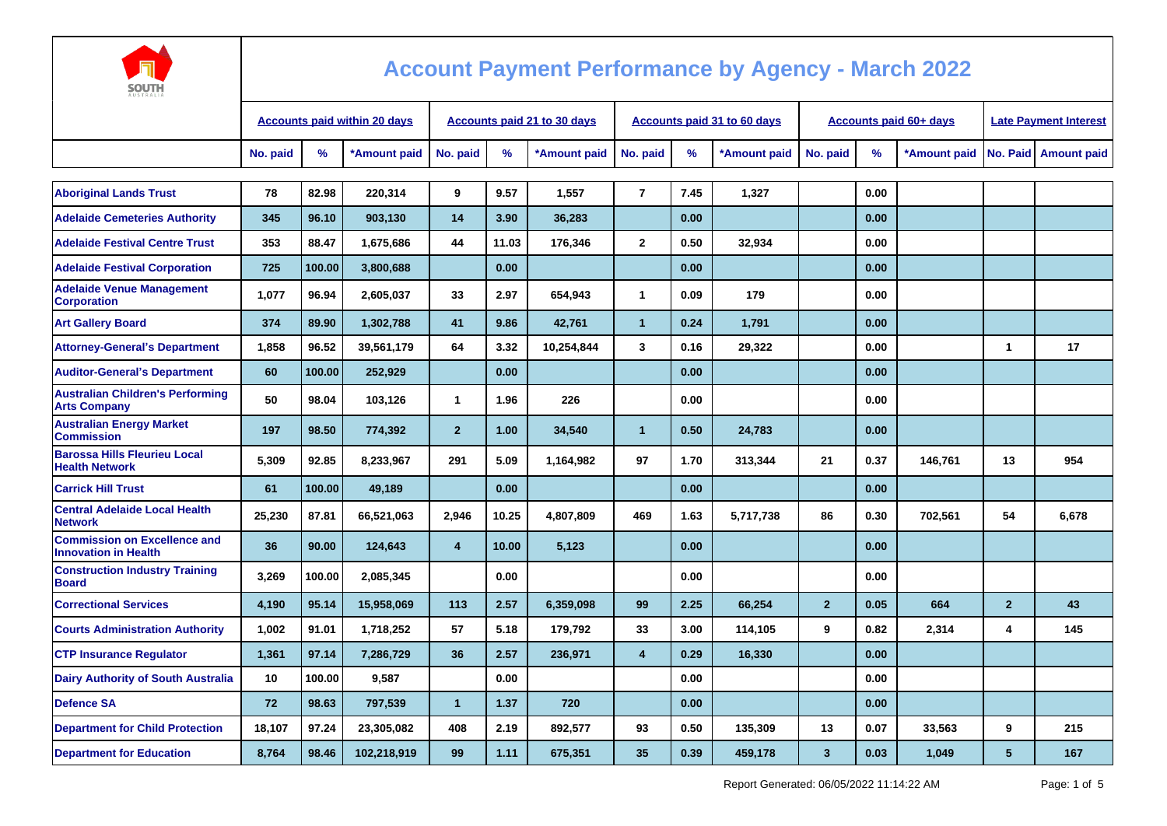

| <b>AUSTRALIA</b>                                                   |          |        |                                     |                             |       |              |                |      |                             |                         |      |                        |                              |                      |
|--------------------------------------------------------------------|----------|--------|-------------------------------------|-----------------------------|-------|--------------|----------------|------|-----------------------------|-------------------------|------|------------------------|------------------------------|----------------------|
|                                                                    |          |        | <b>Accounts paid within 20 days</b> | Accounts paid 21 to 30 days |       |              |                |      | Accounts paid 31 to 60 days |                         |      | Accounts paid 60+ days | <b>Late Payment Interest</b> |                      |
|                                                                    | No. paid | %      | *Amount paid                        | No. paid                    | %     | *Amount paid | No. paid       | %    | *Amount paid                | No. paid                | %    | *Amount paid           |                              | No. Paid Amount paid |
| <b>Aboriginal Lands Trust</b>                                      | 78       | 82.98  | 220,314                             | 9                           | 9.57  | 1,557        | $\overline{7}$ | 7.45 | 1,327                       |                         | 0.00 |                        |                              |                      |
| <b>Adelaide Cemeteries Authority</b>                               | 345      | 96.10  | 903,130                             | 14                          | 3.90  | 36,283       |                | 0.00 |                             |                         | 0.00 |                        |                              |                      |
| <b>Adelaide Festival Centre Trust</b>                              | 353      | 88.47  | 1,675,686                           | 44                          | 11.03 | 176,346      | $\mathbf{2}$   | 0.50 | 32.934                      |                         | 0.00 |                        |                              |                      |
| <b>Adelaide Festival Corporation</b>                               | 725      | 100.00 | 3,800,688                           |                             | 0.00  |              |                | 0.00 |                             |                         | 0.00 |                        |                              |                      |
| <b>Adelaide Venue Management</b><br><b>Corporation</b>             | 1,077    | 96.94  | 2,605,037                           | 33                          | 2.97  | 654,943      | $\mathbf{1}$   | 0.09 | 179                         |                         | 0.00 |                        |                              |                      |
| <b>Art Gallery Board</b>                                           | 374      | 89.90  | 1,302,788                           | 41                          | 9.86  | 42,761       | $\overline{1}$ | 0.24 | 1,791                       |                         | 0.00 |                        |                              |                      |
| <b>Attorney-General's Department</b>                               | 1,858    | 96.52  | 39,561,179                          | 64                          | 3.32  | 10,254,844   | 3              | 0.16 | 29,322                      |                         | 0.00 |                        | $\mathbf{1}$                 | 17                   |
| <b>Auditor-General's Department</b>                                | 60       | 100.00 | 252,929                             |                             | 0.00  |              |                | 0.00 |                             |                         | 0.00 |                        |                              |                      |
| <b>Australian Children's Performing</b><br><b>Arts Company</b>     | 50       | 98.04  | 103,126                             | $\mathbf{1}$                | 1.96  | 226          |                | 0.00 |                             |                         | 0.00 |                        |                              |                      |
| <b>Australian Energy Market</b><br><b>Commission</b>               | 197      | 98.50  | 774,392                             | 2 <sup>2</sup>              | 1.00  | 34,540       | $\mathbf{1}$   | 0.50 | 24,783                      |                         | 0.00 |                        |                              |                      |
| <b>Barossa Hills Fleurieu Local</b><br><b>Health Network</b>       | 5.309    | 92.85  | 8,233,967                           | 291                         | 5.09  | 1,164,982    | 97             | 1.70 | 313,344                     | 21                      | 0.37 | 146.761                | 13                           | 954                  |
| <b>Carrick Hill Trust</b>                                          | 61       | 100.00 | 49,189                              |                             | 0.00  |              |                | 0.00 |                             |                         | 0.00 |                        |                              |                      |
| <b>Central Adelaide Local Health</b><br><b>Network</b>             | 25,230   | 87.81  | 66,521,063                          | 2,946                       | 10.25 | 4,807,809    | 469            | 1.63 | 5,717,738                   | 86                      | 0.30 | 702,561                | 54                           | 6,678                |
| <b>Commission on Excellence and</b><br><b>Innovation in Health</b> | 36       | 90.00  | 124,643                             | $\overline{4}$              | 10.00 | 5,123        |                | 0.00 |                             |                         | 0.00 |                        |                              |                      |
| <b>Construction Industry Training</b><br><b>Board</b>              | 3,269    | 100.00 | 2,085,345                           |                             | 0.00  |              |                | 0.00 |                             |                         | 0.00 |                        |                              |                      |
| <b>Correctional Services</b>                                       | 4,190    | 95.14  | 15,958,069                          | 113                         | 2.57  | 6,359,098    | 99             | 2.25 | 66,254                      | $\overline{2}$          | 0.05 | 664                    | $\overline{2}$               | 43                   |
| <b>Courts Administration Authority</b>                             | 1,002    | 91.01  | 1,718,252                           | 57                          | 5.18  | 179,792      | 33             | 3.00 | 114,105                     | 9                       | 0.82 | 2,314                  | 4                            | 145                  |
| <b>CTP Insurance Regulator</b>                                     | 1,361    | 97.14  | 7,286,729                           | 36                          | 2.57  | 236,971      | $\overline{4}$ | 0.29 | 16,330                      |                         | 0.00 |                        |                              |                      |
| <b>Dairy Authority of South Australia</b>                          | 10       | 100.00 | 9,587                               |                             | 0.00  |              |                | 0.00 |                             |                         | 0.00 |                        |                              |                      |
| <b>Defence SA</b>                                                  | 72       | 98.63  | 797,539                             | $\mathbf{1}$                | 1.37  | 720          |                | 0.00 |                             |                         | 0.00 |                        |                              |                      |
| <b>Department for Child Protection</b>                             | 18,107   | 97.24  | 23,305,082                          | 408                         | 2.19  | 892,577      | 93             | 0.50 | 135,309                     | 13                      | 0.07 | 33,563                 | 9                            | 215                  |
| <b>Department for Education</b>                                    | 8,764    | 98.46  | 102,218,919                         | 99                          | 1.11  | 675,351      | 35             | 0.39 | 459,178                     | $\overline{\mathbf{3}}$ | 0.03 | 1,049                  | 5                            | 167                  |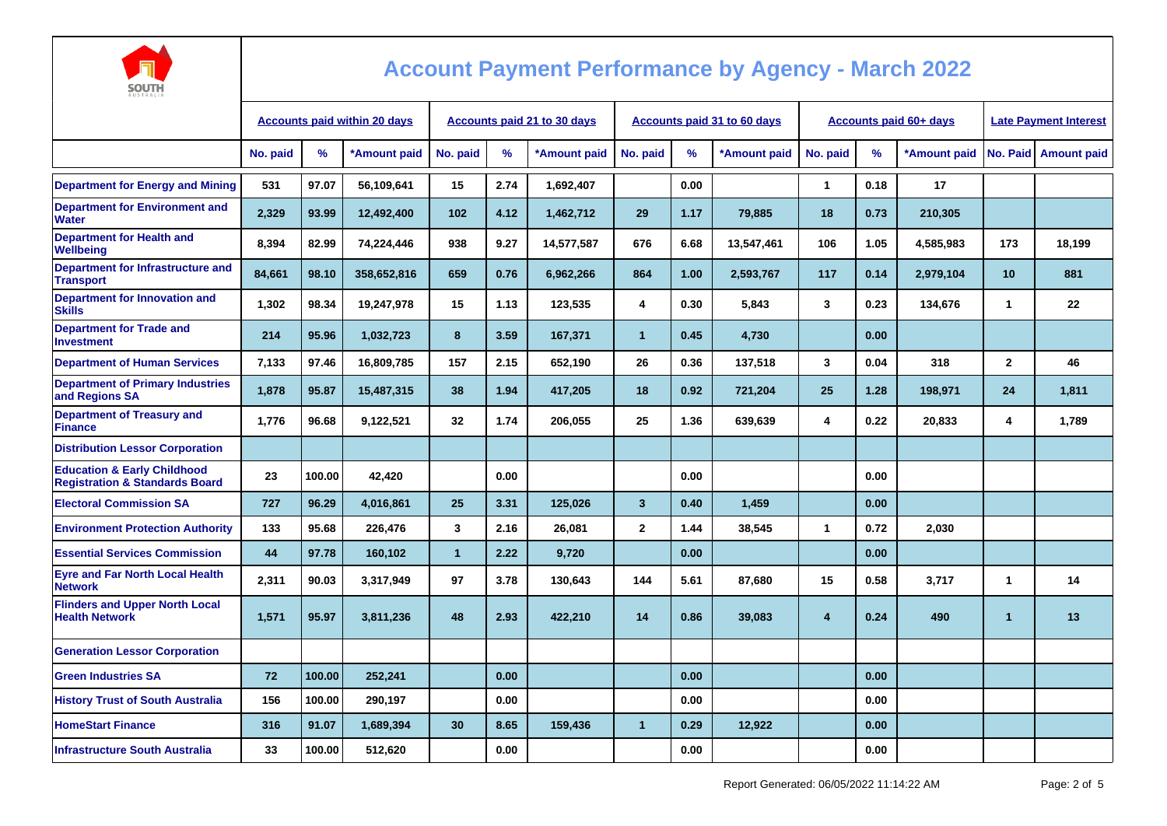

| <b>AUSTRALIA</b>                                                                    |                                     |        |              |                                    |      |              |                                    |      |              |                |                               |                              |                      |                        |
|-------------------------------------------------------------------------------------|-------------------------------------|--------|--------------|------------------------------------|------|--------------|------------------------------------|------|--------------|----------------|-------------------------------|------------------------------|----------------------|------------------------|
|                                                                                     | <b>Accounts paid within 20 days</b> |        |              | <b>Accounts paid 21 to 30 days</b> |      |              | <b>Accounts paid 31 to 60 days</b> |      |              |                | <b>Accounts paid 60+ days</b> | <b>Late Payment Interest</b> |                      |                        |
|                                                                                     | No. paid                            | %      | *Amount paid | No. paid                           | %    | *Amount paid | No. paid                           | $\%$ | *Amount paid | No. paid       | %                             | *Amount paid                 |                      | No. Paid   Amount paid |
| <b>Department for Energy and Mining</b>                                             | 531                                 | 97.07  | 56.109.641   | 15                                 | 2.74 | 1,692,407    |                                    | 0.00 |              | 1              | 0.18                          | 17                           |                      |                        |
| <b>Department for Environment and</b><br>Water                                      | 2,329                               | 93.99  | 12,492,400   | 102                                | 4.12 | 1,462,712    | 29                                 | 1.17 | 79,885       | 18             | 0.73                          | 210,305                      |                      |                        |
| <b>Department for Health and</b><br>Wellbeing                                       | 8,394                               | 82.99  | 74,224,446   | 938                                | 9.27 | 14,577,587   | 676                                | 6.68 | 13,547,461   | 106            | 1.05                          | 4,585,983                    | 173                  | 18,199                 |
| Department for Infrastructure and<br><b>Transport</b>                               | 84,661                              | 98.10  | 358,652,816  | 659                                | 0.76 | 6,962,266    | 864                                | 1.00 | 2,593,767    | 117            | 0.14                          | 2,979,104                    | 10                   | 881                    |
| Department for Innovation and<br><b>Skills</b>                                      | 1,302                               | 98.34  | 19,247,978   | 15                                 | 1.13 | 123,535      | 4                                  | 0.30 | 5,843        | 3              | 0.23                          | 134,676                      | 1                    | 22                     |
| <b>Department for Trade and</b><br><b>Investment</b>                                | 214                                 | 95.96  | 1,032,723    | 8                                  | 3.59 | 167,371      | $\mathbf{1}$                       | 0.45 | 4,730        |                | 0.00                          |                              |                      |                        |
| <b>Department of Human Services</b>                                                 | 7.133                               | 97.46  | 16,809,785   | 157                                | 2.15 | 652,190      | 26                                 | 0.36 | 137,518      | 3              | 0.04                          | 318                          | $\mathbf{2}$         | 46                     |
| <b>Department of Primary Industries</b><br>and Regions SA                           | 1,878                               | 95.87  | 15,487,315   | 38                                 | 1.94 | 417,205      | 18                                 | 0.92 | 721,204      | 25             | 1.28                          | 198,971                      | 24                   | 1,811                  |
| <b>Department of Treasury and</b><br><b>Finance</b>                                 | 1,776                               | 96.68  | 9,122,521    | 32                                 | 1.74 | 206,055      | 25                                 | 1.36 | 639,639      | 4              | 0.22                          | 20,833                       | 4                    | 1,789                  |
| <b>Distribution Lessor Corporation</b>                                              |                                     |        |              |                                    |      |              |                                    |      |              |                |                               |                              |                      |                        |
| <b>Education &amp; Early Childhood</b><br><b>Registration &amp; Standards Board</b> | 23                                  | 100.00 | 42.420       |                                    | 0.00 |              |                                    | 0.00 |              |                | 0.00                          |                              |                      |                        |
| <b>Electoral Commission SA</b>                                                      | 727                                 | 96.29  | 4.016.861    | 25                                 | 3.31 | 125.026      | $\overline{3}$                     | 0.40 | 1.459        |                | 0.00                          |                              |                      |                        |
| <b>Environment Protection Authority</b>                                             | 133                                 | 95.68  | 226,476      | 3                                  | 2.16 | 26,081       | $\mathbf{2}$                       | 1.44 | 38,545       | $\mathbf{1}$   | 0.72                          | 2,030                        |                      |                        |
| <b>Essential Services Commission</b>                                                | 44                                  | 97.78  | 160,102      | $\overline{1}$                     | 2.22 | 9,720        |                                    | 0.00 |              |                | 0.00                          |                              |                      |                        |
| <b>Eyre and Far North Local Health</b><br><b>Network</b>                            | 2,311                               | 90.03  | 3,317,949    | 97                                 | 3.78 | 130,643      | 144                                | 5.61 | 87,680       | 15             | 0.58                          | 3,717                        | 1                    | 14                     |
| <b>Flinders and Upper North Local</b><br><b>Health Network</b>                      | 1.571                               | 95.97  | 3,811,236    | 48                                 | 2.93 | 422,210      | 14                                 | 0.86 | 39,083       | $\overline{4}$ | 0.24                          | 490                          | $\blacktriangleleft$ | 13                     |
| <b>Generation Lessor Corporation</b>                                                |                                     |        |              |                                    |      |              |                                    |      |              |                |                               |                              |                      |                        |
| <b>Green Industries SA</b>                                                          | 72                                  | 100.00 | 252,241      |                                    | 0.00 |              |                                    | 0.00 |              |                | 0.00                          |                              |                      |                        |
| <b>History Trust of South Australia</b>                                             | 156                                 | 100.00 | 290.197      |                                    | 0.00 |              |                                    | 0.00 |              |                | 0.00                          |                              |                      |                        |
| <b>HomeStart Finance</b>                                                            | 316                                 | 91.07  | 1,689,394    | 30                                 | 8.65 | 159,436      | $\mathbf{1}$                       | 0.29 | 12,922       |                | 0.00                          |                              |                      |                        |
| <b>Infrastructure South Australia</b>                                               | 33                                  | 100.00 | 512,620      |                                    | 0.00 |              |                                    | 0.00 |              |                | 0.00                          |                              |                      |                        |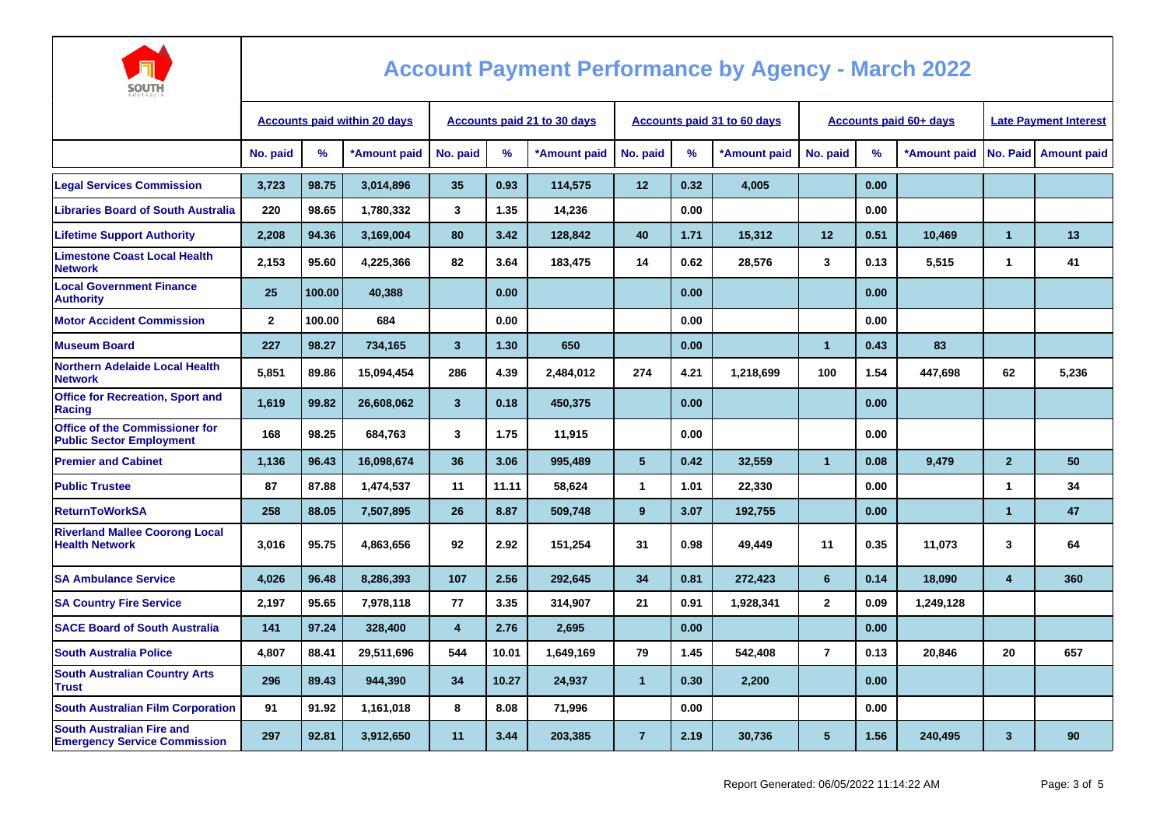

| <b>AUSTRALIA</b>                                                         |                                     |        |              |                                    |       |              |                 |      |                                    |                 |                               |                              |                         |                      |
|--------------------------------------------------------------------------|-------------------------------------|--------|--------------|------------------------------------|-------|--------------|-----------------|------|------------------------------------|-----------------|-------------------------------|------------------------------|-------------------------|----------------------|
|                                                                          | <b>Accounts paid within 20 days</b> |        |              | <b>Accounts paid 21 to 30 days</b> |       |              |                 |      | <b>Accounts paid 31 to 60 days</b> |                 | <b>Accounts paid 60+ days</b> | <b>Late Payment Interest</b> |                         |                      |
|                                                                          | No. paid                            | %      | *Amount paid | No. paid                           | %     | *Amount paid | No. paid        | $\%$ | *Amount paid                       | No. paid        | %                             | *Amount paid                 |                         | No. Paid Amount paid |
| <b>Legal Services Commission</b>                                         | 3,723                               | 98.75  | 3,014,896    | 35                                 | 0.93  | 114,575      | 12              | 0.32 | 4,005                              |                 | 0.00                          |                              |                         |                      |
| <b>Libraries Board of South Australia</b>                                | 220                                 | 98.65  | 1,780,332    | 3                                  | 1.35  | 14,236       |                 | 0.00 |                                    |                 | 0.00                          |                              |                         |                      |
| <b>Lifetime Support Authority</b>                                        | 2,208                               | 94.36  | 3,169,004    | 80                                 | 3.42  | 128,842      | 40              | 1.71 | 15,312                             | 12 <sub>2</sub> | 0.51                          | 10,469                       | $\mathbf{1}$            | 13                   |
| <b>Limestone Coast Local Health</b><br><b>Network</b>                    | 2,153                               | 95.60  | 4,225,366    | 82                                 | 3.64  | 183,475      | 14              | 0.62 | 28,576                             | $\mathbf{3}$    | 0.13                          | 5,515                        | 1                       | 41                   |
| <b>Local Government Finance</b><br><b>Authority</b>                      | 25                                  | 100.00 | 40,388       |                                    | 0.00  |              |                 | 0.00 |                                    |                 | 0.00                          |                              |                         |                      |
| <b>Motor Accident Commission</b>                                         | $\mathbf{2}$                        | 100.00 | 684          |                                    | 0.00  |              |                 | 0.00 |                                    |                 | 0.00                          |                              |                         |                      |
| <b>Museum Board</b>                                                      | 227                                 | 98.27  | 734,165      | $\overline{\mathbf{3}}$            | 1.30  | 650          |                 | 0.00 |                                    | $\overline{1}$  | 0.43                          | 83                           |                         |                      |
| <b>Northern Adelaide Local Health</b><br><b>Network</b>                  | 5.851                               | 89.86  | 15,094,454   | 286                                | 4.39  | 2,484,012    | 274             | 4.21 | 1,218,699                          | 100             | 1.54                          | 447.698                      | 62                      | 5.236                |
| <b>Office for Recreation, Sport and</b><br>Racing                        | 1,619                               | 99.82  | 26,608,062   | 3                                  | 0.18  | 450,375      |                 | 0.00 |                                    |                 | 0.00                          |                              |                         |                      |
| <b>Office of the Commissioner for</b><br><b>Public Sector Employment</b> | 168                                 | 98.25  | 684.763      | 3                                  | 1.75  | 11,915       |                 | 0.00 |                                    |                 | 0.00                          |                              |                         |                      |
| <b>Premier and Cabinet</b>                                               | 1,136                               | 96.43  | 16,098,674   | 36                                 | 3.06  | 995,489      | $5\phantom{.0}$ | 0.42 | 32,559                             | $\mathbf{1}$    | 0.08                          | 9,479                        | $\mathbf{2}$            | 50                   |
| <b>Public Trustee</b>                                                    | 87                                  | 87.88  | 1,474,537    | 11                                 | 11.11 | 58,624       | $\mathbf{1}$    | 1.01 | 22,330                             |                 | 0.00                          |                              | $\mathbf{1}$            | 34                   |
| <b>ReturnToWorkSA</b>                                                    | 258                                 | 88.05  | 7,507,895    | 26                                 | 8.87  | 509,748      | 9               | 3.07 | 192,755                            |                 | 0.00                          |                              | $\overline{1}$          | 47                   |
| <b>Riverland Mallee Coorong Local</b><br><b>Health Network</b>           | 3,016                               | 95.75  | 4,863,656    | 92                                 | 2.92  | 151,254      | 31              | 0.98 | 49,449                             | 11              | 0.35                          | 11,073                       | 3                       | 64                   |
| <b>SA Ambulance Service</b>                                              | 4,026                               | 96.48  | 8,286,393    | 107                                | 2.56  | 292,645      | 34              | 0.81 | 272,423                            | 6               | 0.14                          | 18,090                       | 4                       | 360                  |
| <b>SA Country Fire Service</b>                                           | 2,197                               | 95.65  | 7,978,118    | 77                                 | 3.35  | 314,907      | 21              | 0.91 | 1,928,341                          | $\overline{2}$  | 0.09                          | 1,249,128                    |                         |                      |
| <b>SACE Board of South Australia</b>                                     | 141                                 | 97.24  | 328,400      | $\overline{\mathbf{4}}$            | 2.76  | 2,695        |                 | 0.00 |                                    |                 | 0.00                          |                              |                         |                      |
| <b>South Australia Police</b>                                            | 4.807                               | 88.41  | 29,511,696   | 544                                | 10.01 | 1.649.169    | 79              | 1.45 | 542.408                            | $\overline{7}$  | 0.13                          | 20.846                       | 20                      | 657                  |
| <b>South Australian Country Arts</b><br><b>Trust</b>                     | 296                                 | 89.43  | 944,390      | 34                                 | 10.27 | 24,937       | $\mathbf{1}$    | 0.30 | 2,200                              |                 | 0.00                          |                              |                         |                      |
| <b>South Australian Film Corporation</b>                                 | 91                                  | 91.92  | 1,161,018    | 8                                  | 8.08  | 71,996       |                 | 0.00 |                                    |                 | 0.00                          |                              |                         |                      |
| <b>South Australian Fire and</b><br><b>Emergency Service Commission</b>  | 297                                 | 92.81  | 3,912,650    | 11                                 | 3.44  | 203,385      | $\overline{7}$  | 2.19 | 30,736                             | 5 <sup>5</sup>  | 1.56                          | 240,495                      | $\overline{\mathbf{3}}$ | 90                   |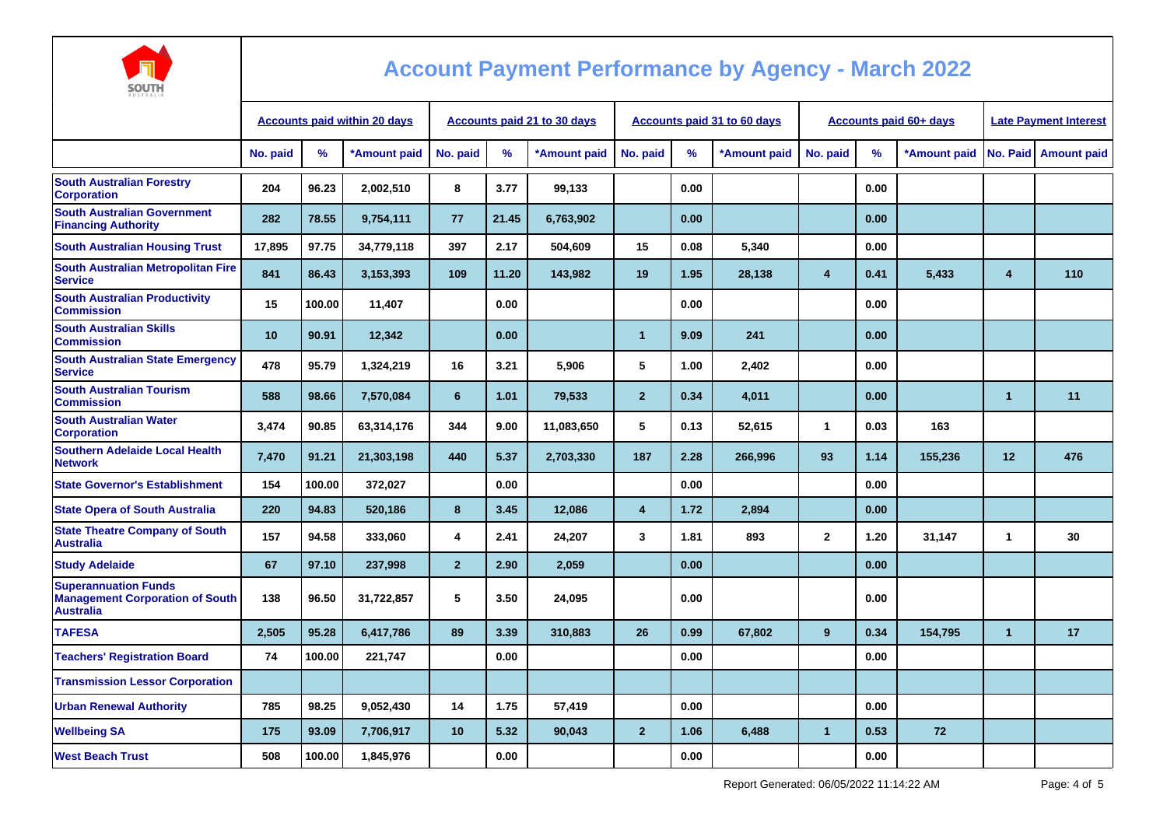

| AUSTRALIA                                                                                 |                                     |        |              |                                    |       |              |                |      |                                    |                               |      |              |                              |                      |  |
|-------------------------------------------------------------------------------------------|-------------------------------------|--------|--------------|------------------------------------|-------|--------------|----------------|------|------------------------------------|-------------------------------|------|--------------|------------------------------|----------------------|--|
|                                                                                           | <b>Accounts paid within 20 days</b> |        |              | <b>Accounts paid 21 to 30 days</b> |       |              |                |      | <b>Accounts paid 31 to 60 days</b> | <b>Accounts paid 60+ days</b> |      |              | <b>Late Payment Interest</b> |                      |  |
|                                                                                           | No. paid                            | %      | *Amount paid | No. paid                           | %     | *Amount paid | No. paid       | %    | *Amount paid                       | No. paid                      | %    | *Amount paid |                              | No. Paid Amount paid |  |
| <b>South Australian Forestry</b><br><b>Corporation</b>                                    | 204                                 | 96.23  | 2,002,510    | 8                                  | 3.77  | 99,133       |                | 0.00 |                                    |                               | 0.00 |              |                              |                      |  |
| <b>South Australian Government</b><br><b>Financing Authority</b>                          | 282                                 | 78.55  | 9,754,111    | 77                                 | 21.45 | 6,763,902    |                | 0.00 |                                    |                               | 0.00 |              |                              |                      |  |
| <b>South Australian Housing Trust</b>                                                     | 17,895                              | 97.75  | 34,779,118   | 397                                | 2.17  | 504,609      | 15             | 0.08 | 5,340                              |                               | 0.00 |              |                              |                      |  |
| <b>South Australian Metropolitan Fire</b><br><b>Service</b>                               | 841                                 | 86.43  | 3,153,393    | 109                                | 11.20 | 143,982      | 19             | 1.95 | 28,138                             | 4                             | 0.41 | 5,433        | 4                            | 110                  |  |
| <b>South Australian Productivity</b><br><b>Commission</b>                                 | 15                                  | 100.00 | 11,407       |                                    | 0.00  |              |                | 0.00 |                                    |                               | 0.00 |              |                              |                      |  |
| <b>South Australian Skills</b><br><b>Commission</b>                                       | 10                                  | 90.91  | 12,342       |                                    | 0.00  |              | $\mathbf{1}$   | 9.09 | 241                                |                               | 0.00 |              |                              |                      |  |
| <b>South Australian State Emergency</b><br><b>Service</b>                                 | 478                                 | 95.79  | 1,324,219    | 16                                 | 3.21  | 5,906        | 5              | 1.00 | 2,402                              |                               | 0.00 |              |                              |                      |  |
| <b>South Australian Tourism</b><br><b>Commission</b>                                      | 588                                 | 98.66  | 7,570,084    | 6                                  | 1.01  | 79,533       | $\overline{2}$ | 0.34 | 4,011                              |                               | 0.00 |              | $\mathbf 1$                  | 11                   |  |
| <b>South Australian Water</b><br><b>Corporation</b>                                       | 3,474                               | 90.85  | 63,314,176   | 344                                | 9.00  | 11,083,650   | 5              | 0.13 | 52,615                             | $\mathbf{1}$                  | 0.03 | 163          |                              |                      |  |
| <b>Southern Adelaide Local Health</b><br><b>Network</b>                                   | 7,470                               | 91.21  | 21,303,198   | 440                                | 5.37  | 2,703,330    | 187            | 2.28 | 266,996                            | 93                            | 1.14 | 155,236      | 12                           | 476                  |  |
| <b>State Governor's Establishment</b>                                                     | 154                                 | 100.00 | 372,027      |                                    | 0.00  |              |                | 0.00 |                                    |                               | 0.00 |              |                              |                      |  |
| <b>State Opera of South Australia</b>                                                     | 220                                 | 94.83  | 520,186      | 8                                  | 3.45  | 12,086       | $\overline{4}$ | 1.72 | 2,894                              |                               | 0.00 |              |                              |                      |  |
| <b>State Theatre Company of South</b><br><b>Australia</b>                                 | 157                                 | 94.58  | 333,060      | 4                                  | 2.41  | 24,207       | 3              | 1.81 | 893                                | $\mathbf{2}$                  | 1.20 | 31,147       | $\mathbf{1}$                 | 30                   |  |
| <b>Study Adelaide</b>                                                                     | 67                                  | 97.10  | 237,998      | $\overline{2}$                     | 2.90  | 2,059        |                | 0.00 |                                    |                               | 0.00 |              |                              |                      |  |
| <b>Superannuation Funds</b><br><b>Management Corporation of South</b><br><b>Australia</b> | 138                                 | 96.50  | 31,722,857   | 5                                  | 3.50  | 24,095       |                | 0.00 |                                    |                               | 0.00 |              |                              |                      |  |
| <b>TAFESA</b>                                                                             | 2,505                               | 95.28  | 6,417,786    | 89                                 | 3.39  | 310,883      | 26             | 0.99 | 67,802                             | 9                             | 0.34 | 154,795      | $\mathbf{1}$                 | 17                   |  |
| <b>Teachers' Registration Board</b>                                                       | 74                                  | 100.00 | 221,747      |                                    | 0.00  |              |                | 0.00 |                                    |                               | 0.00 |              |                              |                      |  |
| <b>Transmission Lessor Corporation</b>                                                    |                                     |        |              |                                    |       |              |                |      |                                    |                               |      |              |                              |                      |  |
| <b>Urban Renewal Authority</b>                                                            | 785                                 | 98.25  | 9,052,430    | 14                                 | 1.75  | 57,419       |                | 0.00 |                                    |                               | 0.00 |              |                              |                      |  |
| <b>Wellbeing SA</b>                                                                       | 175                                 | 93.09  | 7,706,917    | 10                                 | 5.32  | 90,043       | $\overline{2}$ | 1.06 | 6,488                              | $\overline{1}$                | 0.53 | 72           |                              |                      |  |
| <b>West Beach Trust</b>                                                                   | 508                                 | 100.00 | 1,845,976    |                                    | 0.00  |              |                | 0.00 |                                    |                               | 0.00 |              |                              |                      |  |